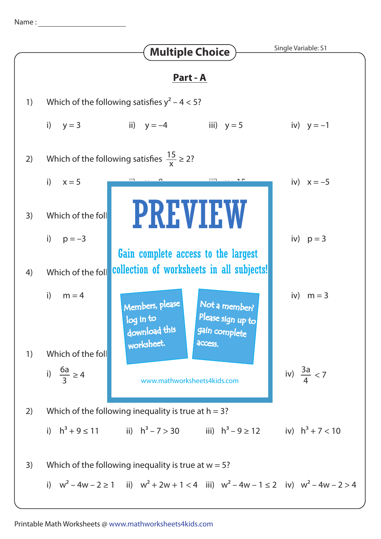